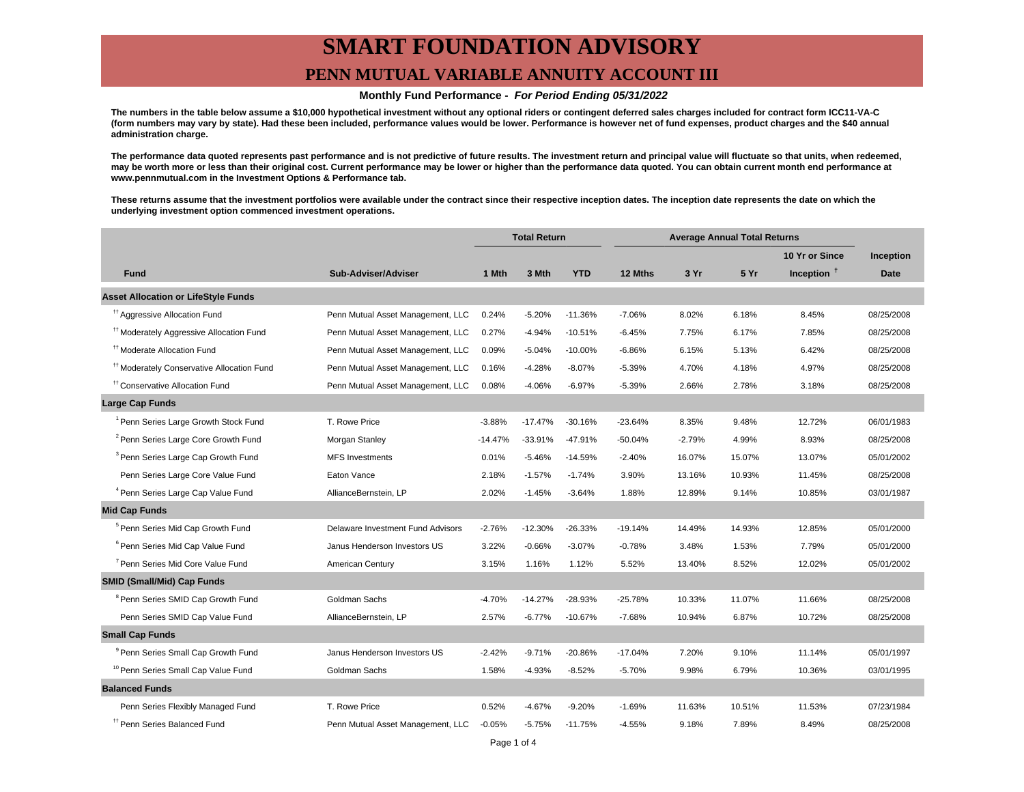## **SMART FOUNDATION ADVISORY PENN MUTUAL VARIABLE ANNUITY ACCOUNT III**

#### **Monthly Fund Performance - For Period Ending 05/31/2022**

**The numbers in the table below assume a \$10,000 hypothetical investment without any optional riders or contingent deferred sales charges included for contract form ICC11-VA-C (form numbers may vary by state). Had these been included, performance values would be lower. Performance is however net of fund expenses, product charges and the \$40 annual administration charge.**

**The performance data quoted represents past performance and is not predictive of future results. The investment return and principal value will fluctuate so that units, when redeemed, may be worth more or less than their original cost. Current performance may be lower or higher than the performance data quoted. You can obtain current month end performance at www.pennmutual.com in the Investment Options & Performance tab.**

**These returns assume that the investment portfolios were available under the contract since their respective inception dates. The inception date represents the date on which the underlying investment option commenced investment operations.**

|                                                       |                                   | <b>Total Return</b> |           | <b>Average Annual Total Returns</b> |           |          |        |                        |             |
|-------------------------------------------------------|-----------------------------------|---------------------|-----------|-------------------------------------|-----------|----------|--------|------------------------|-------------|
|                                                       |                                   |                     |           |                                     |           |          |        | 10 Yr or Since         | Inception   |
| <b>Fund</b>                                           | Sub-Adviser/Adviser               | 1 Mth               | 3 Mth     | <b>YTD</b>                          | 12 Mths   | 3 Yr     | 5 Yr   | Inception <sup>t</sup> | <b>Date</b> |
| <b>Asset Allocation or LifeStyle Funds</b>            |                                   |                     |           |                                     |           |          |        |                        |             |
| <sup>11</sup> Aggressive Allocation Fund              | Penn Mutual Asset Management, LLC | 0.24%               | $-5.20%$  | $-11.36%$                           | $-7.06%$  | 8.02%    | 6.18%  | 8.45%                  | 08/25/2008  |
| <sup>#†</sup> Moderately Aggressive Allocation Fund   | Penn Mutual Asset Management, LLC | 0.27%               | $-4.94%$  | $-10.51%$                           | $-6.45%$  | 7.75%    | 6.17%  | 7.85%                  | 08/25/2008  |
| <sup>tt</sup> Moderate Allocation Fund                | Penn Mutual Asset Management, LLC | 0.09%               | $-5.04%$  | $-10.00%$                           | $-6.86%$  | 6.15%    | 5.13%  | 6.42%                  | 08/25/2008  |
| <sup>11</sup> Moderately Conservative Allocation Fund | Penn Mutual Asset Management, LLC | 0.16%               | $-4.28%$  | $-8.07%$                            | $-5.39%$  | 4.70%    | 4.18%  | 4.97%                  | 08/25/2008  |
| <sup>11</sup> Conservative Allocation Fund            | Penn Mutual Asset Management, LLC | 0.08%               | $-4.06%$  | $-6.97%$                            | $-5.39%$  | 2.66%    | 2.78%  | 3.18%                  | 08/25/2008  |
| <b>Large Cap Funds</b>                                |                                   |                     |           |                                     |           |          |        |                        |             |
| <sup>1</sup> Penn Series Large Growth Stock Fund      | T. Rowe Price                     | $-3.88%$            | $-17.47%$ | $-30.16%$                           | $-23.64%$ | 8.35%    | 9.48%  | 12.72%                 | 06/01/1983  |
| <sup>2</sup> Penn Series Large Core Growth Fund       | Morgan Stanley                    | $-14.47%$           | $-33.91%$ | $-47.91%$                           | -50.04%   | $-2.79%$ | 4.99%  | 8.93%                  | 08/25/2008  |
| <sup>3</sup> Penn Series Large Cap Growth Fund        | <b>MFS</b> Investments            | 0.01%               | $-5.46%$  | $-14.59%$                           | $-2.40%$  | 16.07%   | 15.07% | 13.07%                 | 05/01/2002  |
| Penn Series Large Core Value Fund                     | Eaton Vance                       | 2.18%               | $-1.57%$  | $-1.74%$                            | 3.90%     | 13.16%   | 10.93% | 11.45%                 | 08/25/2008  |
| <sup>4</sup> Penn Series Large Cap Value Fund         | AllianceBernstein, LP             | 2.02%               | $-1.45%$  | $-3.64%$                            | 1.88%     | 12.89%   | 9.14%  | 10.85%                 | 03/01/1987  |
| <b>Mid Cap Funds</b>                                  |                                   |                     |           |                                     |           |          |        |                        |             |
| <sup>5</sup> Penn Series Mid Cap Growth Fund          | Delaware Investment Fund Advisors | $-2.76%$            | $-12.30%$ | $-26.33%$                           | $-19.14%$ | 14.49%   | 14.93% | 12.85%                 | 05/01/2000  |
| <sup>6</sup> Penn Series Mid Cap Value Fund           | Janus Henderson Investors US      | 3.22%               | $-0.66%$  | $-3.07%$                            | $-0.78%$  | 3.48%    | 1.53%  | 7.79%                  | 05/01/2000  |
| <sup>7</sup> Penn Series Mid Core Value Fund          | American Century                  | 3.15%               | 1.16%     | 1.12%                               | 5.52%     | 13.40%   | 8.52%  | 12.02%                 | 05/01/2002  |
| <b>SMID (Small/Mid) Cap Funds</b>                     |                                   |                     |           |                                     |           |          |        |                        |             |
| <sup>8</sup> Penn Series SMID Cap Growth Fund         | Goldman Sachs                     | $-4.70%$            | $-14.27%$ | $-28.93%$                           | $-25.78%$ | 10.33%   | 11.07% | 11.66%                 | 08/25/2008  |
| Penn Series SMID Cap Value Fund                       | AllianceBernstein, LP             | 2.57%               | $-6.77%$  | $-10.67%$                           | $-7.68%$  | 10.94%   | 6.87%  | 10.72%                 | 08/25/2008  |
| <b>Small Cap Funds</b>                                |                                   |                     |           |                                     |           |          |        |                        |             |
| <sup>9</sup> Penn Series Small Cap Growth Fund        | Janus Henderson Investors US      | $-2.42%$            | $-9.71%$  | $-20.86%$                           | $-17.04%$ | 7.20%    | 9.10%  | 11.14%                 | 05/01/1997  |
| <sup>10</sup> Penn Series Small Cap Value Fund        | Goldman Sachs                     | 1.58%               | $-4.93%$  | $-8.52%$                            | $-5.70%$  | 9.98%    | 6.79%  | 10.36%                 | 03/01/1995  |
| <b>Balanced Funds</b>                                 |                                   |                     |           |                                     |           |          |        |                        |             |
| Penn Series Flexibly Managed Fund                     | T. Rowe Price                     | 0.52%               | $-4.67%$  | $-9.20%$                            | $-1.69%$  | 11.63%   | 10.51% | 11.53%                 | 07/23/1984  |
| <sup>17</sup> Penn Series Balanced Fund               | Penn Mutual Asset Management, LLC | $-0.05%$            | $-5.75%$  | $-11.75%$                           | $-4.55%$  | 9.18%    | 7.89%  | 8.49%                  | 08/25/2008  |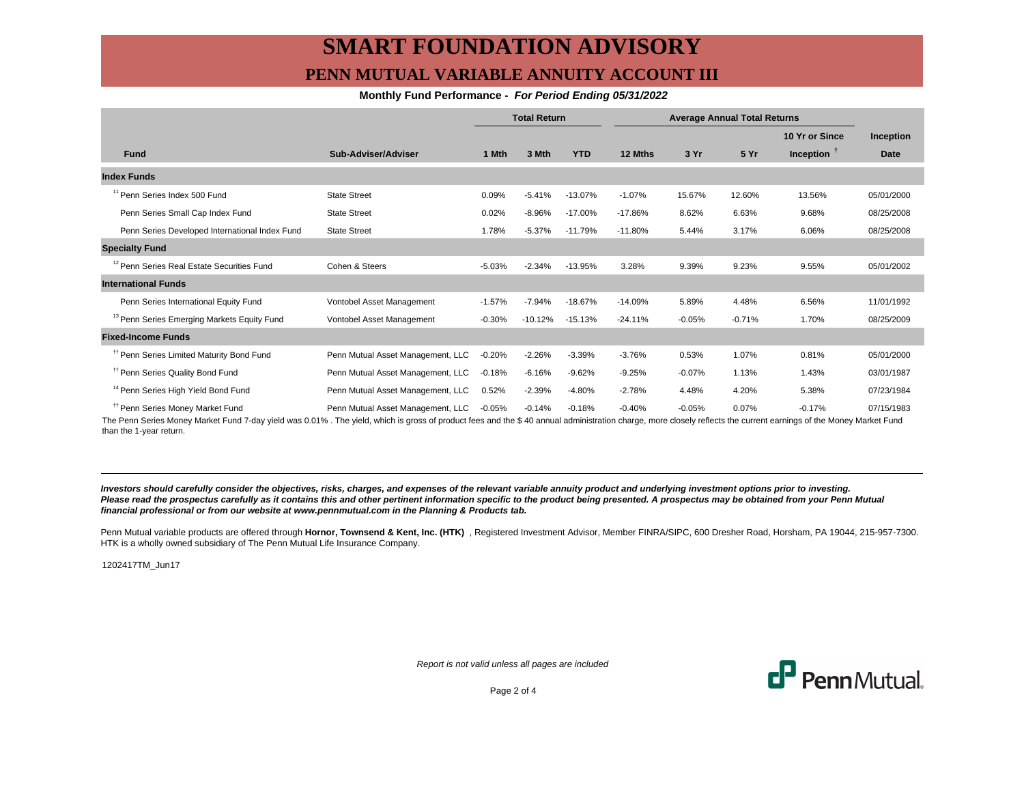## **SMART FOUNDATION ADVISORY PENN MUTUAL VARIABLE ANNUITY ACCOUNT III**

#### **Monthly Fund Performance - For Period Ending 05/31/2022**

|                                                        |                                   | <b>Total Return</b> |           | <b>Average Annual Total Returns</b> |           |          |          |                |             |
|--------------------------------------------------------|-----------------------------------|---------------------|-----------|-------------------------------------|-----------|----------|----------|----------------|-------------|
|                                                        |                                   |                     |           |                                     |           |          |          | 10 Yr or Since | Inception   |
| <b>Fund</b>                                            | Sub-Adviser/Adviser               | 1 Mth               | 3 Mth     | <b>YTD</b>                          | 12 Mths   | 3 Yr     | 5 Yr     | Inception $†$  | <b>Date</b> |
| <b>Index Funds</b>                                     |                                   |                     |           |                                     |           |          |          |                |             |
| <sup>11</sup> Penn Series Index 500 Fund               | <b>State Street</b>               | 0.09%               | $-5.41%$  | $-13.07%$                           | $-1.07%$  | 15.67%   | 12.60%   | 13.56%         | 05/01/2000  |
| Penn Series Small Cap Index Fund                       | <b>State Street</b>               | 0.02%               | $-8.96%$  | $-17.00%$                           | $-17.86%$ | 8.62%    | 6.63%    | 9.68%          | 08/25/2008  |
| Penn Series Developed International Index Fund         | <b>State Street</b>               | 1.78%               | $-5.37%$  | $-11.79%$                           | $-11.80%$ | 5.44%    | 3.17%    | 6.06%          | 08/25/2008  |
| <b>Specialty Fund</b>                                  |                                   |                     |           |                                     |           |          |          |                |             |
| <sup>12</sup> Penn Series Real Estate Securities Fund  | Cohen & Steers                    | $-5.03%$            | $-2.34%$  | $-13.95%$                           | 3.28%     | 9.39%    | 9.23%    | 9.55%          | 05/01/2002  |
| <b>International Funds</b>                             |                                   |                     |           |                                     |           |          |          |                |             |
| Penn Series International Equity Fund                  | Vontobel Asset Management         | $-1.57%$            | $-7.94%$  | $-18.67%$                           | $-14.09%$ | 5.89%    | 4.48%    | 6.56%          | 11/01/1992  |
| <sup>13</sup> Penn Series Emerging Markets Equity Fund | Vontobel Asset Management         | $-0.30%$            | $-10.12%$ | $-15.13%$                           | $-24.11%$ | $-0.05%$ | $-0.71%$ | 1.70%          | 08/25/2009  |
| <b>Fixed-Income Funds</b>                              |                                   |                     |           |                                     |           |          |          |                |             |
| <sup>11</sup> Penn Series Limited Maturity Bond Fund   | Penn Mutual Asset Management, LLC | $-0.20%$            | $-2.26%$  | $-3.39%$                            | $-3.76%$  | 0.53%    | 1.07%    | 0.81%          | 05/01/2000  |
| <sup>11</sup> Penn Series Quality Bond Fund            | Penn Mutual Asset Management, LLC | $-0.18%$            | $-6.16%$  | $-9.62%$                            | $-9.25%$  | $-0.07%$ | 1.13%    | 1.43%          | 03/01/1987  |
| <sup>14</sup> Penn Series High Yield Bond Fund         | Penn Mutual Asset Management, LLC | 0.52%               | $-2.39%$  | $-4.80%$                            | $-2.78%$  | 4.48%    | 4.20%    | 5.38%          | 07/23/1984  |
| <sup>11</sup> Penn Series Money Market Fund            | Penn Mutual Asset Management, LLC | $-0.05%$            | $-0.14%$  | $-0.18%$                            | $-0.40%$  | $-0.05%$ | 0.07%    | $-0.17%$       | 07/15/1983  |

The Penn Series Money Market Fund 7-day yield was 0.01% . The yield, which is gross of product fees and the \$ 40 annual administration charge, more closely reflects the current earnings of the Money Market Fund than the 1-year return.

**Investors should carefully consider the objectives, risks, charges, and expenses of the relevant variable annuity product and underlying investment options prior to investing.** Please read the prospectus carefully as it contains this and other pertinent information specific to the product being presented. A prospectus may be obtained from your Penn Mutual **financial professional or from our website at www.pennmutual.com in the Planning & Products tab.**

Penn Mutual variable products are offered through Hornor, Townsend & Kent, Inc. (HTK), Registered Investment Advisor, Member FINRA/SIPC, 600 Dresher Road, Horsham, PA 19044, 215-957-7300. HTK is a wholly owned subsidiary of The Penn Mutual Life Insurance Company.

1202417TM\_Jun17

Report is not valid unless all pages are included



Page 2 of 4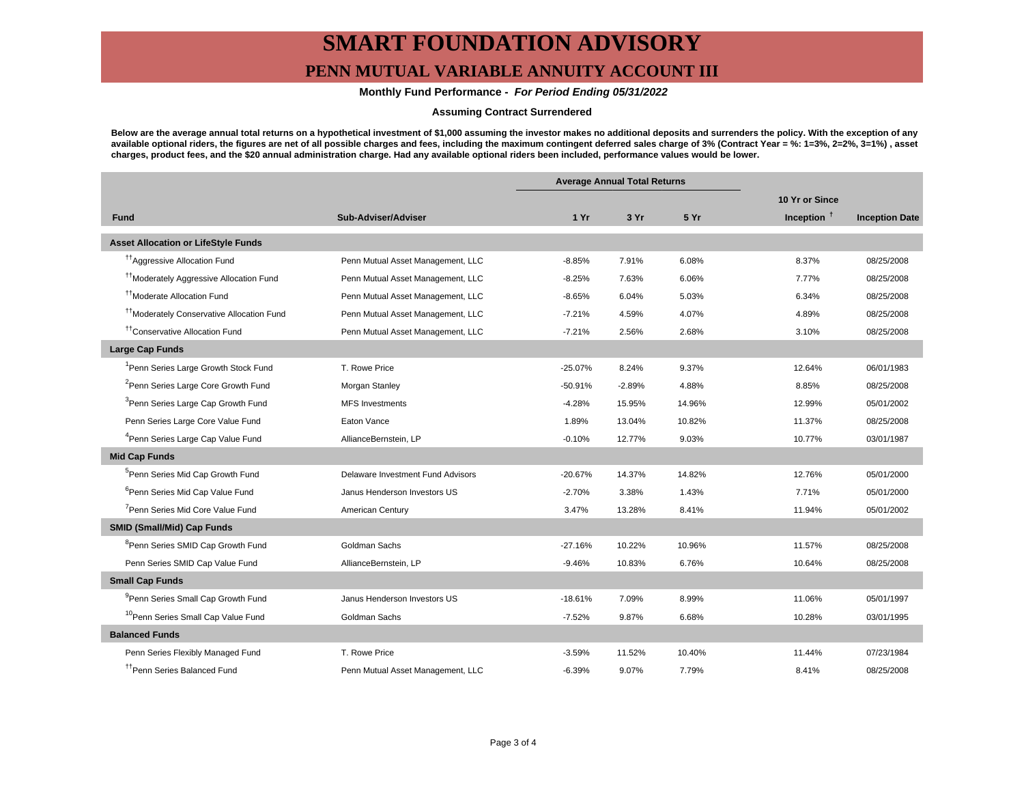# **SMART FOUNDATION ADVISORY**

### **PENN MUTUAL VARIABLE ANNUITY ACCOUNT III**

#### **Monthly Fund Performance - For Period Ending 05/31/2022**

#### **Assuming Contract Surrendered**

**Below are the average annual total returns on a hypothetical investment of \$1,000 assuming the investor makes no additional deposits and surrenders the policy. With the exception of any available optional riders, the figures are net of all possible charges and fees, including the maximum contingent deferred sales charge of 3% (Contract Year = %: 1=3%, 2=2%, 3=1%) , asset charges, product fees, and the \$20 annual administration charge. Had any available optional riders been included, performance values would be lower.**

|                                                       |                                   | <b>Average Annual Total Returns</b> |          |        |                |                       |
|-------------------------------------------------------|-----------------------------------|-------------------------------------|----------|--------|----------------|-----------------------|
|                                                       |                                   |                                     |          |        | 10 Yr or Since |                       |
| <b>Fund</b>                                           | Sub-Adviser/Adviser               | 1Yr                                 | 3 Yr     | 5 Yr   | Inception $†$  | <b>Inception Date</b> |
| <b>Asset Allocation or LifeStyle Funds</b>            |                                   |                                     |          |        |                |                       |
| <sup>17</sup> Aggressive Allocation Fund              | Penn Mutual Asset Management, LLC | $-8.85%$                            | 7.91%    | 6.08%  | 8.37%          | 08/25/2008            |
| <sup>††</sup> Moderately Aggressive Allocation Fund   | Penn Mutual Asset Management, LLC | $-8.25%$                            | 7.63%    | 6.06%  | 7.77%          | 08/25/2008            |
| <sup>11</sup> Moderate Allocation Fund                | Penn Mutual Asset Management, LLC | $-8.65%$                            | 6.04%    | 5.03%  | 6.34%          | 08/25/2008            |
| <sup>11</sup> Moderately Conservative Allocation Fund | Penn Mutual Asset Management, LLC | $-7.21%$                            | 4.59%    | 4.07%  | 4.89%          | 08/25/2008            |
| <sup>tt</sup> Conservative Allocation Fund            | Penn Mutual Asset Management, LLC | $-7.21%$                            | 2.56%    | 2.68%  | 3.10%          | 08/25/2008            |
| <b>Large Cap Funds</b>                                |                                   |                                     |          |        |                |                       |
| <sup>1</sup> Penn Series Large Growth Stock Fund      | T. Rowe Price                     | $-25.07%$                           | 8.24%    | 9.37%  | 12.64%         | 06/01/1983            |
| <sup>2</sup> Penn Series Large Core Growth Fund       | Morgan Stanley                    | $-50.91%$                           | $-2.89%$ | 4.88%  | 8.85%          | 08/25/2008            |
| <sup>3</sup> Penn Series Large Cap Growth Fund        | <b>MFS Investments</b>            | $-4.28%$                            | 15.95%   | 14.96% | 12.99%         | 05/01/2002            |
| Penn Series Large Core Value Fund                     | Eaton Vance                       | 1.89%                               | 13.04%   | 10.82% | 11.37%         | 08/25/2008            |
| <sup>4</sup> Penn Series Large Cap Value Fund         | AllianceBernstein, LP             | $-0.10%$                            | 12.77%   | 9.03%  | 10.77%         | 03/01/1987            |
| <b>Mid Cap Funds</b>                                  |                                   |                                     |          |        |                |                       |
| <sup>5</sup> Penn Series Mid Cap Growth Fund          | Delaware Investment Fund Advisors | $-20.67%$                           | 14.37%   | 14.82% | 12.76%         | 05/01/2000            |
| <sup>6</sup> Penn Series Mid Cap Value Fund           | Janus Henderson Investors US      | $-2.70%$                            | 3.38%    | 1.43%  | 7.71%          | 05/01/2000            |
| <sup>7</sup> Penn Series Mid Core Value Fund          | American Century                  | 3.47%                               | 13.28%   | 8.41%  | 11.94%         | 05/01/2002            |
| <b>SMID (Small/Mid) Cap Funds</b>                     |                                   |                                     |          |        |                |                       |
| <sup>8</sup> Penn Series SMID Cap Growth Fund         | Goldman Sachs                     | $-27.16%$                           | 10.22%   | 10.96% | 11.57%         | 08/25/2008            |
| Penn Series SMID Cap Value Fund                       | AllianceBernstein, LP             | $-9.46%$                            | 10.83%   | 6.76%  | 10.64%         | 08/25/2008            |
| <b>Small Cap Funds</b>                                |                                   |                                     |          |        |                |                       |
| <sup>9</sup> Penn Series Small Cap Growth Fund        | Janus Henderson Investors US      | $-18.61%$                           | 7.09%    | 8.99%  | 11.06%         | 05/01/1997            |
| <sup>10</sup> Penn Series Small Cap Value Fund        | Goldman Sachs                     | $-7.52%$                            | 9.87%    | 6.68%  | 10.28%         | 03/01/1995            |
| <b>Balanced Funds</b>                                 |                                   |                                     |          |        |                |                       |
| Penn Series Flexibly Managed Fund                     | T. Rowe Price                     | $-3.59%$                            | 11.52%   | 10.40% | 11.44%         | 07/23/1984            |
| <sup>11</sup> Penn Series Balanced Fund               | Penn Mutual Asset Management, LLC | $-6.39%$                            | 9.07%    | 7.79%  | 8.41%          | 08/25/2008            |